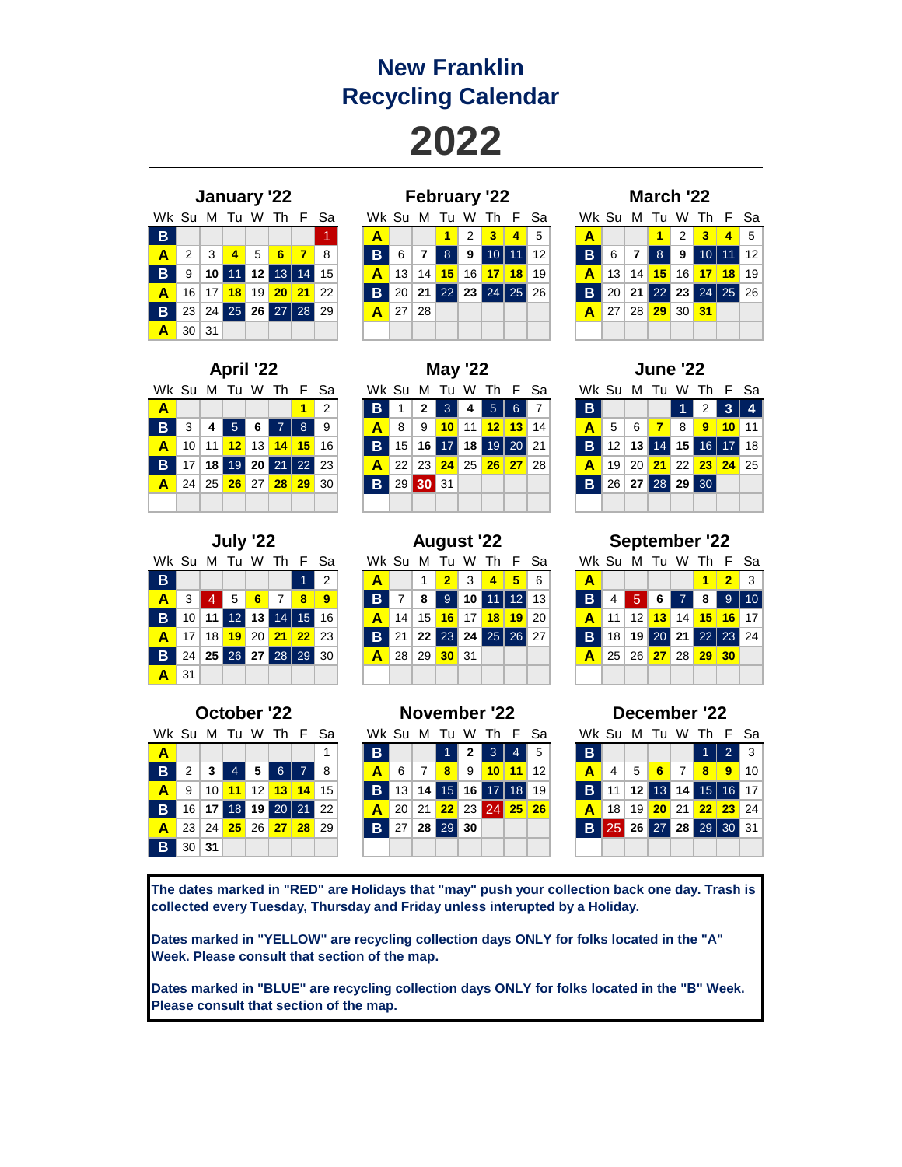## **New Franklin Recycling Calendar**

**2022**

|                 |   |                 | January '22                    |             |      |   |  |
|-----------------|---|-----------------|--------------------------------|-------------|------|---|--|
| Wk Su M Tu W Th |   |                 |                                |             |      | F |  |
| B               |   |                 |                                |             |      |   |  |
| A               |   | $2 \mid 3 \mid$ | $\overline{4}$                 | $5^{\circ}$ | $-6$ |   |  |
| B.              | 9 |                 | 10 11 12 13 14                 |             |      |   |  |
|                 |   |                 | 10 17 <mark>10</mark> 10 20 21 |             |      |   |  |

|                  |                 |    |                  |                 | January '22     |                 |    |       |    |    | <b>February '22</b> |                |                 |                |    |       |    |                 | March '22       |         |                    |                  |     |
|------------------|-----------------|----|------------------|-----------------|-----------------|-----------------|----|-------|----|----|---------------------|----------------|-----------------|----------------|----|-------|----|-----------------|-----------------|---------|--------------------|------------------|-----|
|                  | Wk Su M         |    | - Tu             |                 | W Th F Sa       |                 |    | Wk Su |    |    | M Tu                |                | W Th F Sa       |                |    | Wk Su |    | M N             |                 |         | Tu W Th F Sa       |                  |     |
| B                |                 |    |                  |                 |                 |                 |    |       |    |    | $\blacksquare$      | 2 <sup>1</sup> | 3 <sup>1</sup>  | $\overline{4}$ | 5  | Α     |    |                 | $\blacksquare$  | 2       | $-3$               | $\blacktriangle$ | - 5 |
| $\blacktriangle$ | $\mathcal{P}$   | -3 | $\blacktriangle$ | 5               | 6               | $\overline{7}$  | 8  | B     | 6  |    | 8                   | 9              |                 | 111            | 12 | B     |    |                 | 8               | 9.      | 10 l               | $11$ 12          |     |
| B                | 9               |    |                  | 12 <sub>1</sub> | 13 <sup>1</sup> | $\overline{14}$ | 15 | Α     | 13 | 14 | 15                  | 16             | 17 <sup>1</sup> | 18             | 19 |       | 13 | 14              | 15 <sup>1</sup> |         | 16 <b>17 18</b> 19 |                  |     |
| Α                | 16              | 17 | 18               | 19              | 20 <sup>1</sup> | 21              | 22 | B     | 20 |    |                     |                | 22 23 24 25     |                | 26 | B     |    | 21              |                 |         | 22 23 24 25 26     |                  |     |
| B                | 23              |    |                  |                 | 24 25 26 27 28  |                 | 29 | Α     | 27 | 28 |                     |                |                 |                |    |       | 27 | 28 <sub>1</sub> | 29              | 30 $31$ |                    |                  |     |
| A                | 30 <sup>1</sup> | 31 |                  |                 |                 |                 |    |       |    |    |                     |                |                 |                |    |       |    |                 |                 |         |                    |                  |     |

|                               | March '22 |  |                  |  |                               |  |  |  |  |  |  |  |  |
|-------------------------------|-----------|--|------------------|--|-------------------------------|--|--|--|--|--|--|--|--|
| Wk Su M Tu W Th F Sa          |           |  |                  |  |                               |  |  |  |  |  |  |  |  |
| $\overline{\mathbf{A}}$       |           |  |                  |  | $1$   2   3   4   5           |  |  |  |  |  |  |  |  |
| <b>B</b> 6 7 8 9 10 11 12     |           |  |                  |  |                               |  |  |  |  |  |  |  |  |
|                               |           |  |                  |  | <b>A</b> 13 14 15 16 17 18 19 |  |  |  |  |  |  |  |  |
| <b>B</b> 20 21 22 23 24 25 26 |           |  |                  |  |                               |  |  |  |  |  |  |  |  |
|                               |           |  | A 27 28 29 30 31 |  |                               |  |  |  |  |  |  |  |  |
|                               |           |  |                  |  |                               |  |  |  |  |  |  |  |  |

| <b>April '22</b>     |  |  |  |  |                               |  |                   |  |  |  |  |  |  |
|----------------------|--|--|--|--|-------------------------------|--|-------------------|--|--|--|--|--|--|
| Wk Su M Tu W Th F Sa |  |  |  |  |                               |  |                   |  |  |  |  |  |  |
| $\mathbf{A}$         |  |  |  |  |                               |  | $1 \vert 2 \vert$ |  |  |  |  |  |  |
|                      |  |  |  |  | <b>B</b> 3 4 5 6 7 8 9        |  |                   |  |  |  |  |  |  |
| A                    |  |  |  |  | 10 11 12 13 14 15 16          |  |                   |  |  |  |  |  |  |
|                      |  |  |  |  | <b>B</b> 17 18 19 20 21 22 23 |  |                   |  |  |  |  |  |  |
| A                    |  |  |  |  | 24 25 26 27 28 29 30          |  |                   |  |  |  |  |  |  |
|                      |  |  |  |  |                               |  |                   |  |  |  |  |  |  |

|                      |          | May '22                     |  |  |
|----------------------|----------|-----------------------------|--|--|
| Wk Su M Tu W Th F Sa |          |                             |  |  |
| $\mathbf{B}$         |          | $1$   2   3   4   5   6   7 |  |  |
| A                    |          | 8 9 10 11 12 13 14          |  |  |
| B.                   |          | 15 16 17 18 19 20 21        |  |  |
| A                    |          | 22 23 24 25 26 27 28        |  |  |
| $\mathbf{B}$         | 29 30 31 |                             |  |  |
|                      |          |                             |  |  |

Wk Su M Tu W Th F Sa **A 1** 2 **B** 1 **2** 3 **4** 5 6 7 **B 1** 2 **3 4 B** 3 **4** 5 **6** 7 8 9 **A** 8 9 **10** 11 **12 13** 14 **A** 5 6 **7** 8 **9 10** 11 **A** 10 11 **12** 13 **14 15** 16 **B** 15 **16** 17 **18** 19 20 21 **B** 12 **13** 14 **15** 16 17 18 **B** 17 **18** 19 **20** 21 22 23 **A** 22 23 **24** 25 **26 27** 28 **A** 19 20 **21** 22 **23 24** 25 **B** 26 27 28 29 30 **April '22 May '22 June '22**

Wk Su M Tu W Th F Sa **A** 3 4 5 **6** 7 **8 9 B** 7 **8** 9 **10** 11 12 13 **B** 4 5 **6** 7 **8** 9 10 **B** 10 **11** 12 **13** 14 15 16 **A** 14 15 **16** 17 **18 19** 20 **A** 11 12 **13** 14 **15 16** 17 **A** 17 18 **19** 20 **21 22** 23 **B** 21 **22** 23 **24** 25 26 27 **B** 18 **19** 20 **21** 22 23 24 **B** 24 **25** 26 **27** 28 29 30 **A** 28 29 **30** 31 **A** 25 26 **27** 28 **29 30 A** 31 **July '22 August '22 September '22**

| October '22             |       |  |  |  |                                  |  |   |  |  |  |  |  |
|-------------------------|-------|--|--|--|----------------------------------|--|---|--|--|--|--|--|
| Wk Su M Tu W Th F Sa    |       |  |  |  |                                  |  |   |  |  |  |  |  |
| $\overline{\mathbf{A}}$ |       |  |  |  |                                  |  | 1 |  |  |  |  |  |
| $\overline{B}$          |       |  |  |  | $2$ 3 4 5 6 7 8                  |  |   |  |  |  |  |  |
| A                       |       |  |  |  | 9 10 11 12 13 14 15              |  |   |  |  |  |  |  |
| $\overline{B}$          |       |  |  |  | 16   17   18   19   20   21   22 |  |   |  |  |  |  |  |
|                         |       |  |  |  | <b>A</b> 23 24 25 26 27 28 29    |  |   |  |  |  |  |  |
| B.                      | 30 31 |  |  |  |                                  |  |   |  |  |  |  |  |

|   |       |    | July '22 |   |                   |          |               |       | <b>August '22</b> |                 |                   |                 |                 |             |    |                  |                 |                 | <b>September '22</b> |                 |                 |         |            |
|---|-------|----|----------|---|-------------------|----------|---------------|-------|-------------------|-----------------|-------------------|-----------------|-----------------|-------------|----|------------------|-----------------|-----------------|----------------------|-----------------|-----------------|---------|------------|
|   | Vk Su | M  |          |   | Tu W Th F Sa      |          |               | Wk Su |                   |                 | M Tu W Th F Sa    |                 |                 |             |    |                  | Wk Su M         |                 | Tu                   |                 | W Th            | F Sa    |            |
| в |       |    |          |   |                   |          | $\mathcal{P}$ | Α     |                   |                 | $\overline{2}$    | $\mathbf{3}$    | $\overline{4}$  | $-5$        | 6  | $\blacktriangle$ |                 |                 |                      |                 |                 |         | - 3        |
| A | 3     | 4  | 5        | 6 | $\overline{7}$    | $\bf{8}$ | 9             | B     |                   | 8               | 9                 | 10 <sup>1</sup> |                 | $11$   $12$ | 13 | B                |                 |                 |                      |                 | 8               | 9       | $\vert$ 10 |
| B | 10    | 11 |          |   | $12$ 13 14 15     |          | 16            |       | 14                | 15 <sup>1</sup> |                   | $16$ 17         | 18 <sup>1</sup> | 19          | 20 |                  | 11              | 12 <sup>1</sup> | 13 <sup>1</sup>      | 14              | 15 <sup>1</sup> | $16$ 17 |            |
| Α | 17    | 18 | 19       |   | 20 21 22 23       |          |               | B     | 21                |                 | 22 23 24 25 26 27 |                 |                 |             |    | B                | 18 <sub>1</sub> |                 | 19 20 21 22 23 24    |                 |                 |         |            |
| B | 24    |    |          |   | 25 26 27 28 29 30 |          |               |       | 28 <sup>1</sup>   | 29              | 30 31             |                 |                 |             |    | А                | 25              | 26 <sup>1</sup> | 27 <sup>1</sup>      | 28 <sup>1</sup> |                 | $29$ 30 |            |
| A | 31    |    |          |   |                   |          |               |       |                   |                 |                   |                 |                 |             |    |                  |                 |                 |                      |                 |                 |         |            |

|       |    |    |    |    | October '22     |    |         |   |        |    | November '22 |           |            | December '22 |      |  |       |    |             |                 |      |             |           |    |
|-------|----|----|----|----|-----------------|----|---------|---|--------|----|--------------|-----------|------------|--------------|------|--|-------|----|-------------|-----------------|------|-------------|-----------|----|
| Wk Su |    | M  | ш  | W  |                 |    | Th F Sa |   | Wk Sul | м  | - Tu         | W         | Th         |              | F Sa |  | Wk Su |    | M           | Тu              | w    |             | Th F Sa   |    |
| A     |    |    |    |    |                 |    |         | в |        |    |              |           | 3          | 4            | 5    |  | В     |    |             |                 |      |             |           | -3 |
| B     |    |    |    | 5  |                 |    | 8       | Α | 6      |    | 8            | 9         | 10         | 11           | 12   |  | А     | 4  | 5           | 6               | 7    | 8           | 9         | 10 |
| А     | 9  | 10 | 11 | 12 | 13              | 14 | 15      | в |        |    | 15           |           |            | 18           | 19   |  | в     |    | 12          | 13'             | 14 I | 15.         | $16$ 17   |    |
| B     | 16 |    | 18 | 19 | 20 <sub>1</sub> | 21 | 22      |   | 20     | 21 | 22           | $23 \mid$ | <b>241</b> | 25           | 26   |  |       | 18 | 19          | 20 <sub>2</sub> | 21   | 22          | $23 \ 24$ |    |
| Α     | 23 | 24 | 25 | 26 | 27              | 28 | 29      | в | 27     | 28 | 29           | 30        |            |              |      |  | в     | 25 | <b>26</b> l | 27 <sup>1</sup> |      | 28 29 30 31 |           |    |
| в     | 30 | 31 |    |    |                 |    |         |   |        |    |              |           |            |              |      |  |       |    |             |                 |      |             |           |    |

| <b>September '22</b> |  |
|----------------------|--|
|                      |  |

| Wk Su M Tu W Th F Sa    |  |  |                               |                   |  |
|-------------------------|--|--|-------------------------------|-------------------|--|
| $\overline{A}$          |  |  |                               | $1 \mid 2 \mid 3$ |  |
| <b>B</b> 4 5 6 7 8 9 10 |  |  |                               |                   |  |
|                         |  |  | <b>A</b> 11 12 13 14 15 16 17 |                   |  |
|                         |  |  | <b>B</b> 18 19 20 21 22 23 24 |                   |  |
|                         |  |  | <b>A</b> 25 26 27 28 29 30    |                   |  |
|                         |  |  |                               |                   |  |

| December '22         |                                  |  |                      |  |   |                |     |  |  |  |  |
|----------------------|----------------------------------|--|----------------------|--|---|----------------|-----|--|--|--|--|
| Wk Su M Tu W Th F Sa |                                  |  |                      |  |   |                |     |  |  |  |  |
| B.                   |                                  |  |                      |  |   | $\overline{2}$ | l 3 |  |  |  |  |
| $\blacktriangle$     |                                  |  | 4 5 6 7 8            |  | ı | - 9            | 10  |  |  |  |  |
| B.                   | 11   12   13   14   15   16   17 |  |                      |  |   |                |     |  |  |  |  |
| A                    |                                  |  | 18 19 20 21 22 23 24 |  |   |                |     |  |  |  |  |
| $\mathbf{B}$         | 25 26 27 28 29 30 31             |  |                      |  |   |                |     |  |  |  |  |
|                      |                                  |  |                      |  |   |                |     |  |  |  |  |

**The dates marked in "RED" are Holidays that "may" push your collection back one day. Trash is collected every Tuesday, Thursday and Friday unless interupted by a Holiday.**

**Dates marked in "YELLOW" are recycling collection days ONLY for folks located in the "A" Week. Please consult that section of the map.**

**Dates marked in "BLUE" are recycling collection days ONLY for folks located in the "B" Week. Please consult that section of the map.**